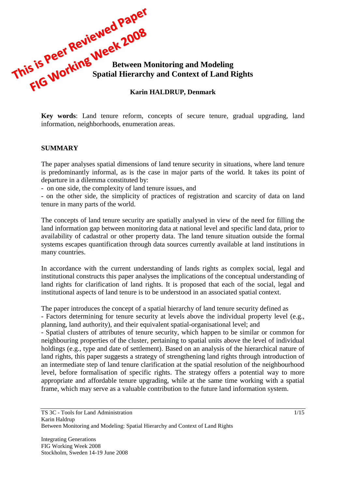

**Key words**: Land tenure reform, concepts of secure tenure, gradual upgrading, land information, neighborhoods, enumeration areas.

#### **SUMMARY**

The paper analyses spatial dimensions of land tenure security in situations, where land tenure is predominantly informal, as is the case in major parts of the world. It takes its point of departure in a dilemma constituted by:

- on one side, the complexity of land tenure issues, and

- on the other side, the simplicity of practices of registration and scarcity of data on land tenure in many parts of the world.

The concepts of land tenure security are spatially analysed in view of the need for filling the land information gap between monitoring data at national level and specific land data, prior to availability of cadastral or other property data. The land tenure situation outside the formal systems escapes quantification through data sources currently available at land institutions in many countries.

In accordance with the current understanding of lands rights as complex social, legal and institutional constructs this paper analyses the implications of the conceptual understanding of land rights for clarification of land rights. It is proposed that each of the social, legal and institutional aspects of land tenure is to be understood in an associated spatial context.

The paper introduces the concept of a spatial hierarchy of land tenure security defined as

- Factors determining for tenure security at levels above the individual property level (e.g., planning, land authority), and their equivalent spatial-organisational level; and

- Spatial clusters of attributes of tenure security, which happen to be similar or common for neighbouring properties of the cluster, pertaining to spatial units above the level of individual holdings (e.g., type and date of settlement). Based on an analysis of the hierarchical nature of land rights, this paper suggests a strategy of strengthening land rights through introduction of an intermediate step of land tenure clarification at the spatial resolution of the neighbourhood level, before formalisation of specific rights. The strategy offers a potential way to more appropriate and affordable tenure upgrading, while at the same time working with a spatial frame, which may serve as a valuable contribution to the future land information system.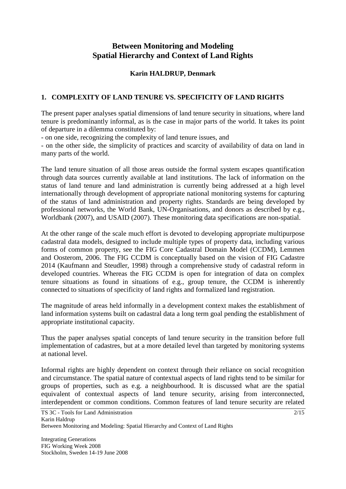# **Between Monitoring and Modeling Spatial Hierarchy and Context of Land Rights**

## **Karin HALDRUP, Denmark**

## **1. COMPLEXITY OF LAND TENURE VS. SPECIFICITY OF LAND RIGHTS**

The present paper analyses spatial dimensions of land tenure security in situations, where land tenure is predominantly informal, as is the case in major parts of the world. It takes its point of departure in a dilemma constituted by:

- on one side, recognizing the complexity of land tenure issues, and

- on the other side, the simplicity of practices and scarcity of availability of data on land in many parts of the world.

The land tenure situation of all those areas outside the formal system escapes quantification through data sources currently available at land institutions. The lack of information on the status of land tenure and land administration is currently being addressed at a high level internationally through development of appropriate national monitoring systems for capturing of the status of land administration and property rights. Standards are being developed by professional networks, the World Bank, UN-Organisations, and donors as described by e.g., Worldbank (2007), and USAID (2007). These monitoring data specifications are non-spatial.

At the other range of the scale much effort is devoted to developing appropriate multipurpose cadastral data models, designed to include multiple types of property data, including various forms of common property, see the FIG Core Cadastral Domain Model (CCDM), Lemmen and Oosterom, 2006. The FIG CCDM is conceptually based on the vision of FIG Cadastre 2014 (Kaufmann and Steudler, 1998) through a comprehensive study of cadastral reform in developed countries. Whereas the FIG CCDM is open for integration of data on complex tenure situations as found in situations of e.g., group tenure, the CCDM is inherently connected to situations of specificity of land rights and formalized land registration.

The magnitude of areas held informally in a development context makes the establishment of land information systems built on cadastral data a long term goal pending the establishment of appropriate institutional capacity.

Thus the paper analyses spatial concepts of land tenure security in the transition before full implementation of cadastres, but at a more detailed level than targeted by monitoring systems at national level.

Informal rights are highly dependent on context through their reliance on social recognition and circumstance. The spatial nature of contextual aspects of land rights tend to be similar for groups of properties, such as e.g. a neighbourhood. It is discussed what are the spatial equivalent of contextual aspects of land tenure security, arising from interconnected, interdependent or common conditions. Common features of land tenure security are related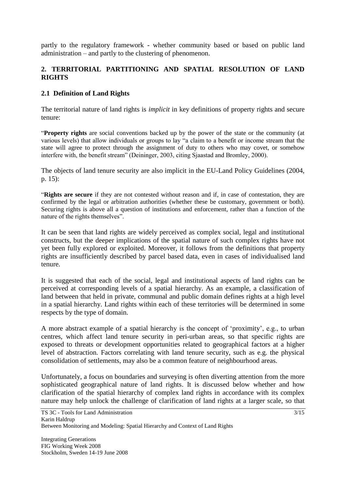partly to the regulatory framework - whether community based or based on public land administration – and partly to the clustering of phenomenon.

## **2. TERRITORIAL PARTITIONING AND SPATIAL RESOLUTION OF LAND RIGHTS**

## **2.1 Definition of Land Rights**

The territorial nature of land rights is *implicit* in key definitions of property rights and secure tenure:

"**Property rights** are social conventions backed up by the power of the state or the community (at various levels) that allow individuals or groups to lay "a claim to a benefit or income stream that the state will agree to protect through the assignment of duty to others who may covet, or somehow interfere with, the benefit stream" (Deininger, 2003, citing Sjaastad and Bromley, 2000).

The objects of land tenure security are also implicit in the EU-Land Policy Guidelines (2004, p. 15):

"**Rights are secure** if they are not contested without reason and if, in case of contestation, they are confirmed by the legal or arbitration authorities (whether these be customary, government or both). Securing rights is above all a question of institutions and enforcement, rather than a function of the nature of the rights themselves".

It can be seen that land rights are widely perceived as complex social, legal and institutional constructs, but the deeper implications of the spatial nature of such complex rights have not yet been fully explored or exploited. Moreover, it follows from the definitions that property rights are insufficiently described by parcel based data, even in cases of individualised land tenure.

It is suggested that each of the social, legal and institutional aspects of land rights can be perceived at corresponding levels of a spatial hierarchy. As an example, a classification of land between that held in private, communal and public domain defines rights at a high level in a spatial hierarchy. Land rights within each of these territories will be determined in some respects by the type of domain.

A more abstract example of a spatial hierarchy is the concept of "proximity", e.g., to urban centres, which affect land tenure security in peri-urban areas, so that specific rights are exposed to threats or development opportunities related to geographical factors at a higher level of abstraction. Factors correlating with land tenure security, such as e.g. the physical consolidation of settlements, may also be a common feature of neighbourhood areas.

Unfortunately, a focus on boundaries and surveying is often diverting attention from the more sophisticated geographical nature of land rights. It is discussed below whether and how clarification of the spatial hierarchy of complex land rights in accordance with its complex nature may help unlock the challenge of clarification of land rights at a larger scale, so that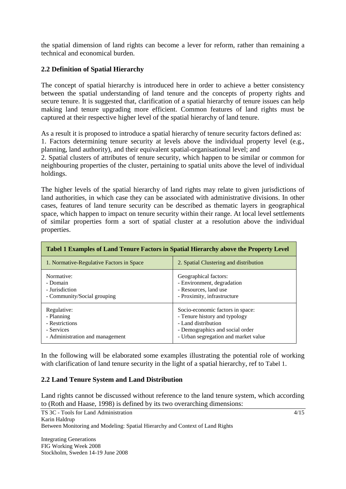the spatial dimension of land rights can become a lever for reform, rather than remaining a technical and economical burden.

## **2.2 Definition of Spatial Hierarchy**

The concept of spatial hierarchy is introduced here in order to achieve a better consistency between the spatial understanding of land tenure and the concepts of property rights and secure tenure. It is suggested that, clarification of a spatial hierarchy of tenure issues can help making land tenure upgrading more efficient. Common features of land rights must be captured at their respective higher level of the spatial hierarchy of land tenure.

As a result it is proposed to introduce a spatial hierarchy of tenure security factors defined as: 1. Factors determining tenure security at levels above the individual property level (e.g., planning, land authority), and their equivalent spatial-organisational level; and

2. Spatial clusters of attributes of tenure security, which happen to be similar or common for neighbouring properties of the cluster, pertaining to spatial units above the level of individual holdings.

The higher levels of the spatial hierarchy of land rights may relate to given jurisdictions of land authorities, in which case they can be associated with administrative divisions. In other cases, features of land tenure security can be described as thematic layers in geographical space, which happen to impact on tenure security within their range. At local level settlements of similar properties form a sort of spatial cluster at a resolution above the individual properties.

<span id="page-3-0"></span>

| <b>Tabel 1 Examples of Land Tenure Factors in Spatial Hierarchy above the Property Level</b> |                                        |
|----------------------------------------------------------------------------------------------|----------------------------------------|
| 1. Normative-Regulative Factors in Space                                                     | 2. Spatial Clustering and distribution |
| Normative:                                                                                   | Geographical factors:                  |
| - Domain                                                                                     | - Environment, degradation             |
| - Jurisdiction                                                                               | - Resources, land use                  |
| - Community/Social grouping                                                                  | - Proximity, infrastructure            |
| Regulative:                                                                                  | Socio-economic factors in space:       |
| - Planning                                                                                   | - Tenure history and typology          |
| - Restrictions                                                                               | - Land distribution                    |
| - Services                                                                                   | - Demographics and social order        |
| - Administration and management                                                              | - Urban segregation and market value   |

In the following will be elaborated some examples illustrating the potential role of working with clarification of land tenure security in the light of a spatial hierarchy, ref to [Tabel 1](#page-3-0).

### **2.2 Land Tenure System and Land Distribution**

Land rights cannot be discussed without reference to the land tenure system, which according to (Roth and Haase, 1998) is defined by its two overarching dimensions:

4/15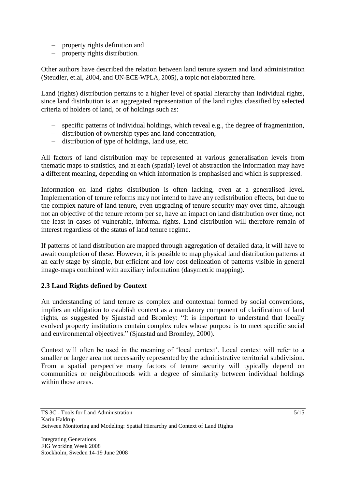- property rights definition and
- property rights distribution.

Other authors have described the relation between land tenure system and land administration (Steudler, et.al, 2004, and UN-ECE-WPLA, 2005), a topic not elaborated here.

Land (rights) distribution pertains to a higher level of spatial hierarchy than individual rights, since land distribution is an aggregated representation of the land rights classified by selected criteria of holders of land, or of holdings such as:

- specific patterns of individual holdings, which reveal e.g., the degree of fragmentation,
- distribution of ownership types and land concentration,
- distribution of type of holdings, land use, etc.

All factors of land distribution may be represented at various generalisation levels from thematic maps to statistics, and at each (spatial) level of abstraction the information may have a different meaning, depending on which information is emphasised and which is suppressed.

Information on land rights distribution is often lacking, even at a generalised level. Implementation of tenure reforms may not intend to have any redistribution effects, but due to the complex nature of land tenure, even upgrading of tenure security may over time, although not an objective of the tenure reform per se, have an impact on land distribution over time, not the least in cases of vulnerable, informal rights. Land distribution will therefore remain of interest regardless of the status of land tenure regime.

If patterns of land distribution are mapped through aggregation of detailed data, it will have to await completion of these. However, it is possible to map physical land distribution patterns at an early stage by simple, but efficient and low cost delineation of patterns visible in general image-maps combined with auxiliary information (dasymetric mapping).

### **2.3 Land Rights defined by Context**

An understanding of land tenure as complex and contextual formed by social conventions, implies an obligation to establish context as a mandatory component of clarification of land rights, as suggested by Sjaastad and Bromley: "It is important to understand that locally evolved property institutions contain complex rules whose purpose is to meet specific social and environmental objectives." (Sjaastad and Bromley, 2000).

Context will often be used in the meaning of "local context". Local context will refer to a smaller or larger area not necessarily represented by the administrative territorial subdivision. From a spatial perspective many factors of tenure security will typically depend on communities or neighbourhoods with a degree of similarity between individual holdings within those areas.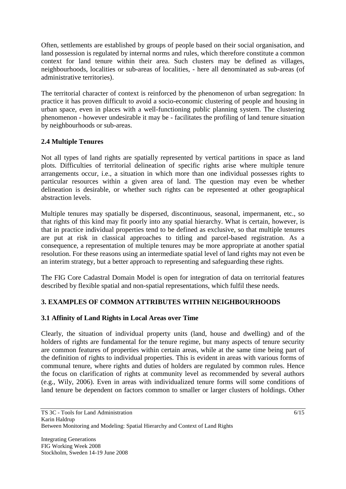Often, settlements are established by groups of people based on their social organisation, and land possession is regulated by internal norms and rules, which therefore constitute a common context for land tenure within their area. Such clusters may be defined as villages, neighbourhoods, localities or sub-areas of localities, - here all denominated as sub-areas (of administrative territories).

The territorial character of context is reinforced by the phenomenon of urban segregation: In practice it has proven difficult to avoid a socio-economic clustering of people and housing in urban space, even in places with a well-functioning public planning system. The clustering phenomenon - however undesirable it may be - facilitates the profiling of land tenure situation by neighbourhoods or sub-areas.

## **2.4 Multiple Tenures**

Not all types of land rights are spatially represented by vertical partitions in space as land plots. Difficulties of territorial delineation of specific rights arise where multiple tenure arrangements occur, i.e., a situation in which more than one individual possesses rights to particular resources within a given area of land. The question may even be whether delineation is desirable, or whether such rights can be represented at other geographical abstraction levels.

Multiple tenures may spatially be dispersed, discontinuous, seasonal, impermanent, etc., so that rights of this kind may fit poorly into any spatial hierarchy. What is certain, however, is that in practice individual properties tend to be defined as exclusive, so that multiple tenures are put at risk in classical approaches to titling and parcel-based registration. As a consequence, a representation of multiple tenures may be more appropriate at another spatial resolution. For these reasons using an intermediate spatial level of land rights may not even be an interim strategy, but a better approach to representing and safeguarding these rights.

The FIG Core Cadastral Domain Model is open for integration of data on territorial features described by flexible spatial and non-spatial representations, which fulfil these needs.

## **3. EXAMPLES OF COMMON ATTRIBUTES WITHIN NEIGHBOURHOODS**

### **3.1 Affinity of Land Rights in Local Areas over Time**

Clearly, the situation of individual property units (land, house and dwelling) and of the holders of rights are fundamental for the tenure regime, but many aspects of tenure security are common features of properties within certain areas, while at the same time being part of the definition of rights to individual properties. This is evident in areas with various forms of communal tenure, where rights and duties of holders are regulated by common rules. Hence the focus on clarification of rights at community level as recommended by several authors (e.g., Wily, 2006). Even in areas with individualized tenure forms will some conditions of land tenure be dependent on factors common to smaller or larger clusters of holdings. Other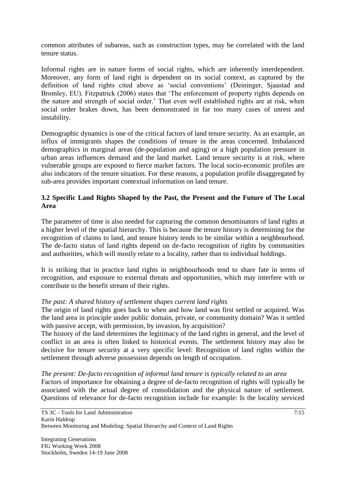common attributes of subareas, such as construction types, may be correlated with the land tenure status.

Informal rights are in nature forms of social rights, which are inherently interdependent. Moreover, any form of land right is dependent on its social context, as captured by the definition of land rights cited above as "social conventions" (Deininger, Sjaastad and Bromley, EU). Fitzpatrick (2006) states that "The enforcement of property rights depends on the nature and strength of social order." That even well established rights are at risk, when social order brakes down, has been demonstrated in far too many cases of unrest and instability.

Demographic dynamics is one of the critical factors of land tenure security. As an example, an influx of immigrants shapes the conditions of tenure in the areas concerned. Imbalanced demographics in marginal areas (de-population and aging) or a high population pressure in urban areas influences demand and the land market. Land tenure security is at risk, where vulnerable groups are exposed to fierce market factors. The local socio-economic profiles are also indicators of the tenure situation. For these reasons, a population profile disaggregated by sub-area provides important contextual information on land tenure.

## **3.2 Specific Land Rights Shaped by the Past, the Present and the Future of The Local Area**

The parameter of time is also needed for capturing the common denominators of land rights at a higher level of the spatial hierarchy. This is because the tenure history is determining for the recognition of claims to land, and tenure history tends to be similar within a neighbourhood. The de-facto status of land rights depend on de-facto recognition of rights by communities and authorities, which will mostly relate to a locality, rather than to individual holdings.

It is striking that in practice land rights in neighbourhoods tend to share fate in terms of recognition, and exposure to external threats and opportunities, which may interfere with or contribute to the benefit stream of their rights.

### *The past: A shared history of settlement shapes current land rights*

The origin of land rights goes back to when and how land was first settled or acquired. Was the land area in principle under public domain, private, or community domain? Was it settled with passive accept, with permission, by invasion, by acquisition?

The history of the land determines the legitimacy of the land rights in general, and the level of conflict in an area is often linked to historical events. The settlement history may also be decisive for tenure security at a very specific level: Recognition of land rights within the settlement through adverse possession depends on length of occupation.

#### *The present: De-facto recognition of informal land tenure is typically related to an area*

Factors of importance for obtaining a degree of de-facto recognition of rights will typically be associated with the actual degree of consolidation and the physical nature of settlement. Questions of relevance for de-facto recognition include for example: Is the locality serviced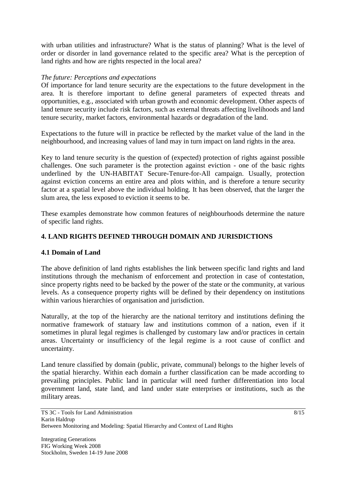with urban utilities and infrastructure? What is the status of planning? What is the level of order or disorder in land governance related to the specific area? What is the perception of land rights and how are rights respected in the local area?

### *The future: Perceptions and expectations*

Of importance for land tenure security are the expectations to the future development in the area. It is therefore important to define general parameters of expected threats and opportunities, e.g., associated with urban growth and economic development. Other aspects of land tenure security include risk factors, such as external threats affecting livelihoods and land tenure security, market factors, environmental hazards or degradation of the land.

Expectations to the future will in practice be reflected by the market value of the land in the neighbourhood, and increasing values of land may in turn impact on land rights in the area.

Key to land tenure security is the question of (expected) protection of rights against possible challenges. One such parameter is the protection against eviction - one of the basic rights underlined by the UN-HABITAT Secure-Tenure-for-All campaign. Usually, protection against eviction concerns an entire area and plots within, and is therefore a tenure security factor at a spatial level above the individual holding. It has been observed, that the larger the slum area, the less exposed to eviction it seems to be.

These examples demonstrate how common features of neighbourhoods determine the nature of specific land rights.

### **4. LAND RIGHTS DEFINED THROUGH DOMAIN AND JURISDICTIONS**

#### **4.1 Domain of Land**

The above definition of land rights establishes the link between specific land rights and land institutions through the mechanism of enforcement and protection in case of contestation, since property rights need to be backed by the power of the state or the community, at various levels. As a consequence property rights will be defined by their dependency on institutions within various hierarchies of organisation and jurisdiction.

Naturally, at the top of the hierarchy are the national territory and institutions defining the normative framework of statuary law and institutions common of a nation, even if it sometimes in plural legal regimes is challenged by customary law and/or practices in certain areas. Uncertainty or insufficiency of the legal regime is a root cause of conflict and uncertainty.

Land tenure classified by domain (public, private, communal) belongs to the higher levels of the spatial hierarchy. Within each domain a further classification can be made according to prevailing principles. Public land in particular will need further differentiation into local government land, state land, and land under state enterprises or institutions, such as the military areas.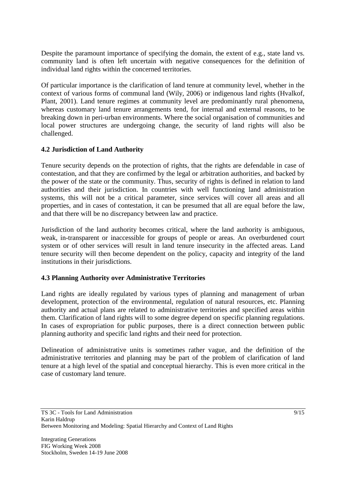Despite the paramount importance of specifying the domain, the extent of e.g., state land vs. community land is often left uncertain with negative consequences for the definition of individual land rights within the concerned territories.

Of particular importance is the clarification of land tenure at community level, whether in the context of various forms of communal land (Wily, 2006) or indigenous land rights (Hvalkof, Plant, 2001). Land tenure regimes at community level are predominantly rural phenomena, whereas customary land tenure arrangements tend, for internal and external reasons, to be breaking down in peri-urban environments. Where the social organisation of communities and local power structures are undergoing change, the security of land rights will also be challenged.

## **4.2 Jurisdiction of Land Authority**

Tenure security depends on the protection of rights, that the rights are defendable in case of contestation, and that they are confirmed by the legal or arbitration authorities, and backed by the power of the state or the community. Thus, security of rights is defined in relation to land authorities and their jurisdiction. In countries with well functioning land administration systems, this will not be a critical parameter, since services will cover all areas and all properties, and in cases of contestation, it can be presumed that all are equal before the law, and that there will be no discrepancy between law and practice.

Jurisdiction of the land authority becomes critical, where the land authority is ambiguous, weak, in-transparent or inaccessible for groups of people or areas. An overburdened court system or of other services will result in land tenure insecurity in the affected areas. Land tenure security will then become dependent on the policy, capacity and integrity of the land institutions in their jurisdictions.

### **4.3 Planning Authority over Administrative Territories**

Land rights are ideally regulated by various types of planning and management of urban development, protection of the environmental, regulation of natural resources, etc. Planning authority and actual plans are related to administrative territories and specified areas within them. Clarification of land rights will to some degree depend on specific planning regulations. In cases of expropriation for public purposes, there is a direct connection between public planning authority and specific land rights and their need for protection.

Delineation of administrative units is sometimes rather vague, and the definition of the administrative territories and planning may be part of the problem of clarification of land tenure at a high level of the spatial and conceptual hierarchy. This is even more critical in the case of customary land tenure.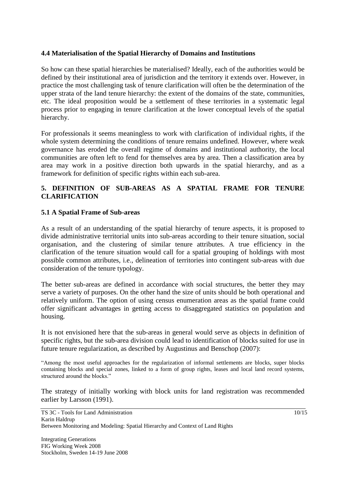### **4.4 Materialisation of the Spatial Hierarchy of Domains and Institutions**

So how can these spatial hierarchies be materialised? Ideally, each of the authorities would be defined by their institutional area of jurisdiction and the territory it extends over. However, in practice the most challenging task of tenure clarification will often be the determination of the upper strata of the land tenure hierarchy: the extent of the domains of the state, communities, etc. The ideal proposition would be a settlement of these territories in a systematic legal process prior to engaging in tenure clarification at the lower conceptual levels of the spatial hierarchy.

For professionals it seems meaningless to work with clarification of individual rights, if the whole system determining the conditions of tenure remains undefined. However, where weak governance has eroded the overall regime of domains and institutional authority, the local communities are often left to fend for themselves area by area. Then a classification area by area may work in a positive direction both upwards in the spatial hierarchy, and as a framework for definition of specific rights within each sub-area.

## **5. DEFINITION OF SUB-AREAS AS A SPATIAL FRAME FOR TENURE CLARIFICATION**

#### **5.1 A Spatial Frame of Sub-areas**

As a result of an understanding of the spatial hierarchy of tenure aspects, it is proposed to divide administrative territorial units into sub-areas according to their tenure situation, social organisation, and the clustering of similar tenure attributes. A true efficiency in the clarification of the tenure situation would call for a spatial grouping of holdings with most possible common attributes, i.e., delineation of territories into contingent sub-areas with due consideration of the tenure typology.

The better sub-areas are defined in accordance with social structures, the better they may serve a variety of purposes. On the other hand the size of units should be both operational and relatively uniform. The option of using census enumeration areas as the spatial frame could offer significant advantages in getting access to disaggregated statistics on population and housing.

It is not envisioned here that the sub-areas in general would serve as objects in definition of specific rights, but the sub-area division could lead to identification of blocks suited for use in future tenure regularization, as described by Augustinus and Benschop (2007):

"Among the most useful approaches for the regularization of informal settlements are blocks, super blocks containing blocks and special zones, linked to a form of group rights, leases and local land record systems, structured around the blocks."

The strategy of initially working with block units for land registration was recommended earlier by Larsson (1991).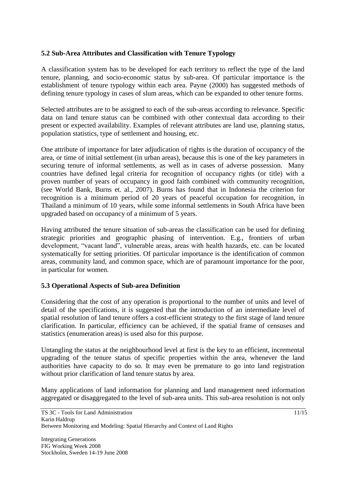## **5.2 Sub-Area Attributes and Classification with Tenure Typology**

A classification system has to be developed for each territory to reflect the type of the land tenure, planning, and socio-economic status by sub-area. Of particular importance is the establishment of tenure typology within each area. Payne (2000) has suggested methods of defining tenure typology in cases of slum areas, which can be expanded to other tenure forms.

Selected attributes are to be assigned to each of the sub-areas according to relevance. Specific data on land tenure status can be combined with other contextual data according to their present or expected availability. Examples of relevant attributes are land use, planning status, population statistics, type of settlement and housing, etc.

One attribute of importance for later adjudication of rights is the duration of occupancy of the area, or time of initial settlement (in urban areas), because this is one of the key parameters in securing tenure of informal settlements, as well as in cases of adverse possession. Many countries have defined legal criteria for recognition of occupancy rights (or title) with a proven number of years of occupancy in good faith combined with community recognition, (see World Bank, Burns et. al., 2007). Burns has found that in Indonesia the criterion for recognition is a minimum period of 20 years of peaceful occupation for recognition, in Thailand a minimum of 10 years, while some informal settlements in South Africa have been upgraded based on occupancy of a minimum of 5 years.

Having attributed the tenure situation of sub-areas the classification can be used for defining strategic priorities and geographic phasing of intervention. E.g., frontiers of urban development, "vacant land", vulnerable areas, areas with health hazards, etc. can be located systematically for setting priorities. Of particular importance is the identification of common areas, community land, and common space, which are of paramount importance for the poor, in particular for women.

### **5.3 Operational Aspects of Sub-area Definition**

Considering that the cost of any operation is proportional to the number of units and level of detail of the specifications, it is suggested that the introduction of an intermediate level of spatial resolution of land tenure offers a cost-efficient strategy to the first stage of land tenure clarification. In particular, efficiency can be achieved, if the spatial frame of censuses and statistics (enumeration areas) is used also for this purpose.

Untangling the status at the neighbourhood level at first is the key to an efficient, incremental upgrading of the tenure status of specific properties within the area, whenever the land authorities have capacity to do so. It may even be premature to go into land registration without prior clarification of land tenure status by area.

Many applications of land information for planning and land management need information aggregated or disaggregated to the level of sub-area units. This sub-area resolution is not only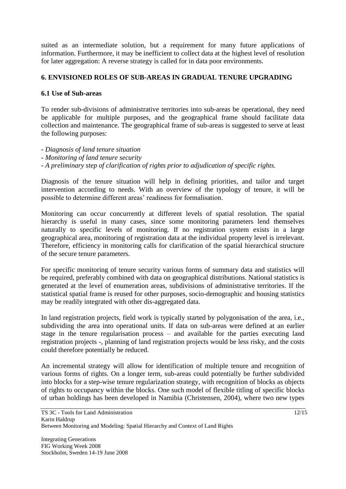suited as an intermediate solution, but a requirement for many future applications of information. Furthermore, it may be inefficient to collect data at the highest level of resolution for later aggregation: A reverse strategy is called for in data poor environments.

## **6. ENVISIONED ROLES OF SUB-AREAS IN GRADUAL TENURE UPGRADING**

### **6.1 Use of Sub-areas**

To render sub-divisions of administrative territories into sub-areas be operational, they need be applicable for multiple purposes, and the geographical frame should facilitate data collection and maintenance. The geographical frame of sub-areas is suggested to serve at least the following purposes:

*- Diagnosis of land tenure situation*

- *- Monitoring of land tenure security*
- *- A preliminary step of clarification of rights prior to adjudication of specific rights.*

Diagnosis of the tenure situation will help in defining priorities, and tailor and target intervention according to needs. With an overview of the typology of tenure, it will be possible to determine different areas' readiness for formalisation.

Monitoring can occur concurrently at different levels of spatial resolution. The spatial hierarchy is useful in many cases, since some monitoring parameters lend themselves naturally to specific levels of monitoring. If no registration system exists in a large geographical area, monitoring of registration data at the individual property level is irrelevant. Therefore, efficiency in monitoring calls for clarification of the spatial hierarchical structure of the secure tenure parameters.

For specific monitoring of tenure security various forms of summary data and statistics will be required, preferably combined with data on geographical distributions. National statistics is generated at the level of enumeration areas, subdivisions of administrative territories. If the statistical spatial frame is reused for other purposes, socio-demographic and housing statistics may be readily integrated with other dis-aggregated data.

In land registration projects, field work is typically started by polygonisation of the area, i.e., subdividing the area into operational units. If data on sub-areas were defined at an earlier stage in the tenure regularisation process – and available for the parties executing land registration projects -, planning of land registration projects would be less risky, and the costs could therefore potentially be reduced.

An incremental strategy will allow for identification of multiple tenure and recognition of various forms of rights. On a longer term, sub-areas could potentially be further subdivided into blocks for a step-wise tenure regularization strategy, with recognition of blocks as objects of rights to occupancy within the blocks. One such model of flexible titling of specific blocks of urban holdings has been developed in Namibia (Christensen, 2004), where two new types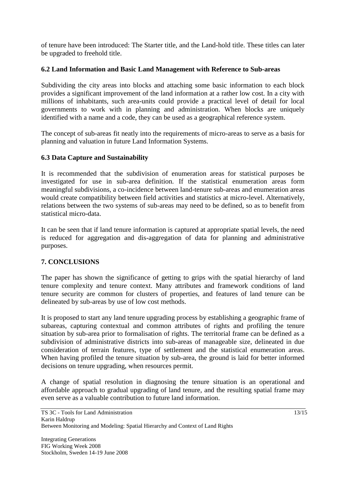of tenure have been introduced: The Starter title, and the Land-hold title. These titles can later be upgraded to freehold title.

## **6.2 Land Information and Basic Land Management with Reference to Sub-areas**

Subdividing the city areas into blocks and attaching some basic information to each block provides a significant improvement of the land information at a rather low cost. In a city with millions of inhabitants, such area-units could provide a practical level of detail for local governments to work with in planning and administration. When blocks are uniquely identified with a name and a code, they can be used as a geographical reference system.

The concept of sub-areas fit neatly into the requirements of micro-areas to serve as a basis for planning and valuation in future Land Information Systems.

### **6.3 Data Capture and Sustainability**

It is recommended that the subdivision of enumeration areas for statistical purposes be investigated for use in sub-area definition. If the statistical enumeration areas form meaningful subdivisions, a co-incidence between land-tenure sub-areas and enumeration areas would create compatibility between field activities and statistics at micro-level. Alternatively, relations between the two systems of sub-areas may need to be defined, so as to benefit from statistical micro-data.

It can be seen that if land tenure information is captured at appropriate spatial levels, the need is reduced for aggregation and dis-aggregation of data for planning and administrative purposes.

## **7. CONCLUSIONS**

The paper has shown the significance of getting to grips with the spatial hierarchy of land tenure complexity and tenure context. Many attributes and framework conditions of land tenure security are common for clusters of properties, and features of land tenure can be delineated by sub-areas by use of low cost methods.

It is proposed to start any land tenure upgrading process by establishing a geographic frame of subareas, capturing contextual and common attributes of rights and profiling the tenure situation by sub-area prior to formalisation of rights. The territorial frame can be defined as a subdivision of administrative districts into sub-areas of manageable size, delineated in due consideration of terrain features, type of settlement and the statistical enumeration areas. When having profiled the tenure situation by sub-area, the ground is laid for better informed decisions on tenure upgrading, when resources permit.

A change of spatial resolution in diagnosing the tenure situation is an operational and affordable approach to gradual upgrading of land tenure, and the resulting spatial frame may even serve as a valuable contribution to future land information.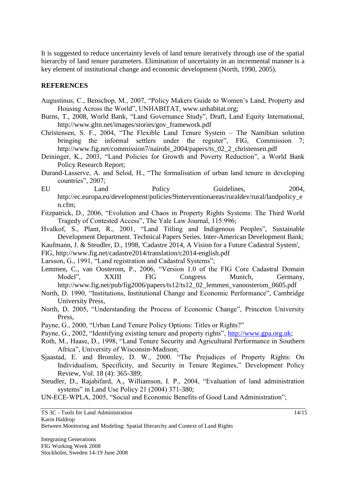It is suggested to reduce uncertainty levels of land tenure iteratively through use of the spatial hierarchy of land tenure parameters. Elimination of uncertainty in an incremental manner is a key element of institutional change and economic development (North, 1990, 2005).

#### **REFERENCES**

- Augustinus, C., Benschop, M., 2007, "Policy Makers Guide to Women"s Land, Property and Housing Across the World", UNHABITAT, www.unhabitat.org;
- Burns, T., 2008, World Bank, "Land Governance Study", Draft, Land Equity International, http://www.gltn.net/images/stories/gov\_framework.pdf
- Christensen, S. F., 2004, "The Flexible Land Tenure System The Namibian solution bringing the informal settlers under the register", FIG, Commission 7; http://www.fig.net/commission7/nairobi\_2004/papers/ts\_02\_2\_christensen.pdf
- Deininger, K., 2003, "Land Policies for Growth and Poverty Reduction", a World Bank Policy Research Report;
- Durand-Lasserve, A. and Selod, H., "The formalisation of urban land tenure in developing countries", 2007;
- EU Land Policy Guidelines, 2004, http://ec.europa.eu/development/policies/9interventionareas/ruraldev/rural/landpolicy\_e n.cfm;
- Fitzpatrick, D., 2006, "Evolution and Chaos in Property Rights Systems: The Third World Tragedy of Contested Access", The Yale Law Journal, 115:996;
- Hvalkof, S., Plant, R., 2001, "Land Titling and Indigenous Peoples", Sustainable Development Department. Technical Papers Series. Inter-American Development Bank;

Kaufmann, J. & Steudler, D., 1998, 'Cadastre 2014, A Vision for a Future Cadastral System',

- FIG, http://www.fig.net/cadastre2014/translation/c2014-english.pdf
- Larsson, G., 1991, "Land registration and Cadastral Systems";
- Lemmen, C., van Oosterom, P., 2006, "Version 1.0 of the FIG Core Cadastral Domain Model". XXIII FIG Congress Munich, Germany, Model", XXIII FIG Congress Munich, Germany, http://www.fig.net/pub/fig2006/papers/ts12/ts12\_02\_lemmen\_vanoosterom\_0605.pdf
- North, D. 1990, "Institutions, Institutional Change and Economic Performance", Cambridge University Press,
- North, D. 2005, "Understanding the Process of Economic Change", Princeton University Press,
- Payne, G., 2000, "Urban Land Tenure Policy Options: Titles or Rights?"
- Payne, G., 2002, "Identifying existing tenure and property rights", [http://www.gpa.org.uk;](http://www.gpa.org.uk/)
- Roth, M., Haase, D., 1998, "Land Tenure Security and Agricultural Performance in Southern Africa", University of Wisconsin-Madison;
- Sjaastad, E. and Bromley, D. W., 2000. "The Prejudices of Property Rights: On Individualism, Specificity, and Security in Tenure Regimes," Development Policy Review, Vol. 18 (4): 365-389;
- Steudler, D., Rajabifard, A., Williamson, I. P., 2004, "Evaluation of land administration systems" in Land Use Policy 21 (2004) 371-380;

UN-ECE-WPLA, 2005, "Social and Economic Benefits of Good Land Administration";